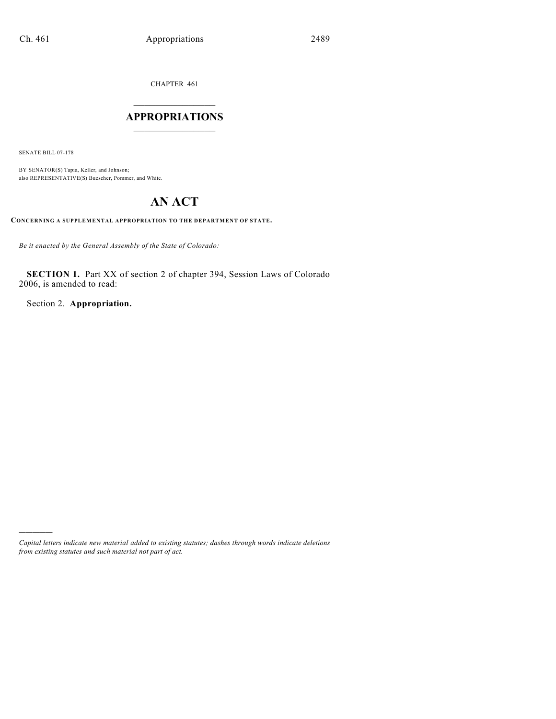CHAPTER 461

## $\mathcal{L}_\text{max}$  . The set of the set of the set of the set of the set of the set of the set of the set of the set of the set of the set of the set of the set of the set of the set of the set of the set of the set of the set **APPROPRIATIONS**  $\_$   $\_$   $\_$   $\_$   $\_$   $\_$   $\_$   $\_$

SENATE BILL 07-178

)))))

BY SENATOR(S) Tapia, Keller, and Johnson; also REPRESENTATIVE(S) Buescher, Pommer, and White.

# **AN ACT**

**CONCERNING A SUPPLEMENTAL APPROPRIATION TO THE DEPARTMENT OF STATE.**

*Be it enacted by the General Assembly of the State of Colorado:*

**SECTION 1.** Part XX of section 2 of chapter 394, Session Laws of Colorado 2006, is amended to read:

Section 2. **Appropriation.**

*Capital letters indicate new material added to existing statutes; dashes through words indicate deletions from existing statutes and such material not part of act.*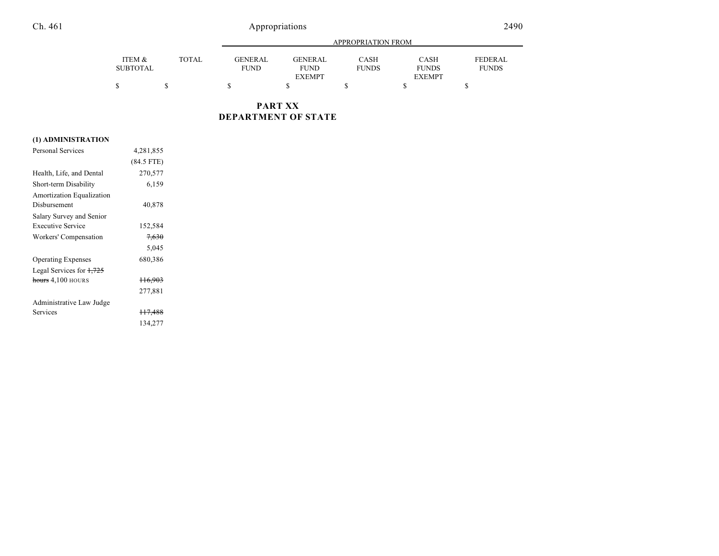## Ch. 461 Appropriations

|                           |              |                               | APPROPRIATION FROM     |                      |                             |                                |  |
|---------------------------|--------------|-------------------------------|------------------------|----------------------|-----------------------------|--------------------------------|--|
| ITEM &<br><b>SUBTOTAL</b> | <b>TOTAL</b> | <b>GENERAL</b><br><b>FUND</b> | GENERAL<br><b>FUND</b> | CASH<br><b>FUNDS</b> | <b>CASH</b><br><b>FUNDS</b> | <b>FEDERAL</b><br><b>FUNDS</b> |  |
|                           |              |                               | <b>EXEMPT</b>          |                      | <b>EXEMPT</b>               |                                |  |
| \$                        |              |                               |                        |                      |                             |                                |  |

**PART XX DEPARTMENT OF STATE**

## **(1) ADMINISTRATION**

| $(84.5$ FTE)       |           |
|--------------------|-----------|
| 270,577            |           |
| 6,159              |           |
|                    |           |
| 40,878             |           |
|                    |           |
| 152,584            |           |
| 7,630              |           |
| 5,045              |           |
| 680,386            |           |
|                    |           |
| H <sub>6.903</sub> |           |
| 277,881            |           |
|                    |           |
| <del>117,488</del> |           |
| 134,277            |           |
|                    | 4,281,855 |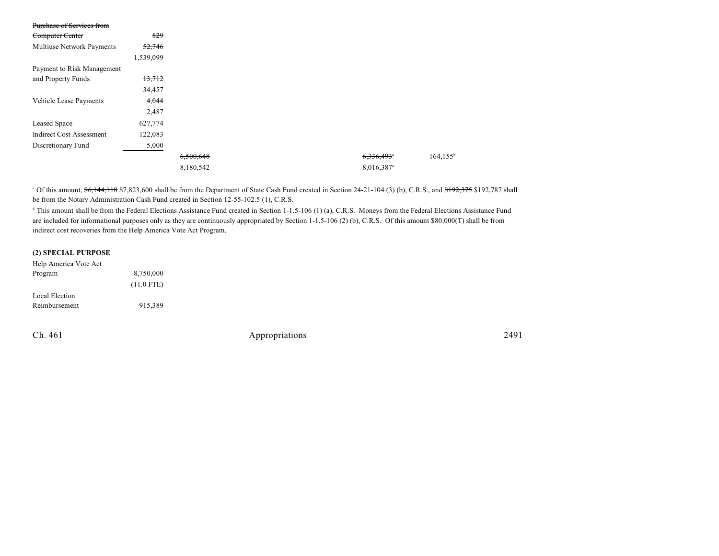| Purchase of Services from       |           |  |
|---------------------------------|-----------|--|
| Computer Center                 | 829       |  |
| Multiuse Network Payments       | 52,746    |  |
|                                 | 1,539,099 |  |
| Payment to Risk Management      |           |  |
| and Property Funds              | 13,712    |  |
|                                 | 34,457    |  |
| Vehicle Lease Payments          | 4,044     |  |
|                                 | 2,487     |  |
| Leased Space                    | 627,774   |  |
| <b>Indirect Cost Assessment</b> | 122,083   |  |
| Discretionary Fund              | 5,000     |  |
|                                 |           |  |
|                                 |           |  |

<sup>a</sup> Of this amount, \$6,144,118 \$7,823,600 shall be from the Department of State Cash Fund created in Section 24-21-104 (3) (b), C.R.S., and \$192,375 \$192,787 shall be from the Notary Administration Cash Fund created in Section 12-55-102.5 (1), C.R.S.

<sup>b</sup> This amount shall be from the Federal Elections Assistance Fund created in Section 1-1.5-106 (1) (a), C.R.S. Moneys from the Federal Elections Assistance Fund are included for informational purposes only as they are continuously appropriated by Section 1-1.5-106 (2) (b), C.R.S. Of this amount \$80,000(T) shall be from indirect cost recoveries from the Help America Vote Act Program.

#### **(2) SPECIAL PURPOSE**

| Help America Vote Act |              |
|-----------------------|--------------|
| Program               | 8,750,000    |
|                       | $(11.0$ FTE) |
| Local Election        |              |
| Reimbursement         | 915.389      |

Ch. 461 Appropriations 2491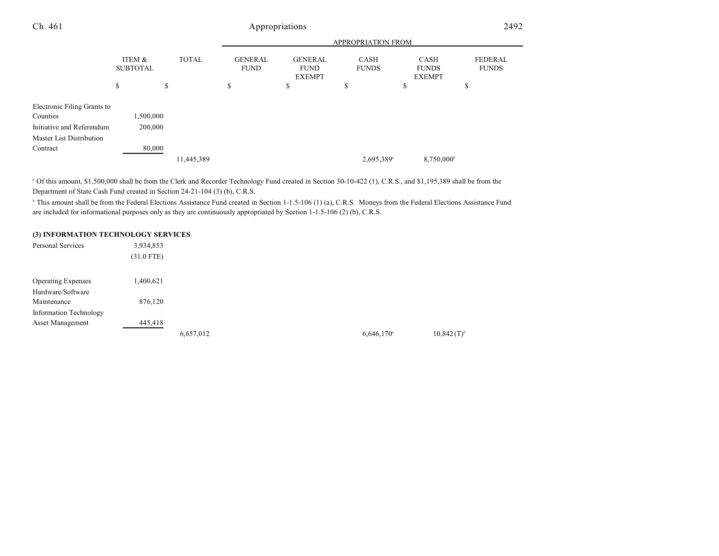| Ch. 461                                 | Appropriations            |              |                               |                                                |                             | 2492                                         |                                |  |
|-----------------------------------------|---------------------------|--------------|-------------------------------|------------------------------------------------|-----------------------------|----------------------------------------------|--------------------------------|--|
|                                         | APPROPRIATION FROM        |              |                               |                                                |                             |                                              |                                |  |
|                                         | ITEM &<br><b>SUBTOTAL</b> | <b>TOTAL</b> | <b>GENERAL</b><br><b>FUND</b> | <b>GENERAL</b><br><b>FUND</b><br><b>EXEMPT</b> | <b>CASH</b><br><b>FUNDS</b> | <b>CASH</b><br><b>FUNDS</b><br><b>EXEMPT</b> | <b>FEDERAL</b><br><b>FUNDS</b> |  |
|                                         | \$                        | \$           | \$                            | \$                                             | \$                          | \$                                           | \$                             |  |
| Electronic Filing Grants to<br>Counties | 1,500,000                 |              |                               |                                                |                             |                                              |                                |  |
| Initiative and Referendum<br>200,000    |                           |              |                               |                                                |                             |                                              |                                |  |
| Master List Distribution                |                           |              |                               |                                                |                             |                                              |                                |  |
| Contract                                | 80,000                    |              |                               |                                                |                             |                                              |                                |  |
|                                         |                           | 11,445,389   |                               |                                                | 2,695,389 <sup>a</sup>      | 8,750,000                                    |                                |  |

<sup>a</sup> Of this amount, \$1,500,000 shall be from the Clerk and Recorder Technology Fund created in Section 30-10-422 (1), C.R.S., and \$1,195,389 shall be from the Department of State Cash Fund created in Section 24-21-104 (3) (b), C.R.S.

<sup>b</sup> This amount shall be from the Federal Elections Assistance Fund created in Section 1-1.5-106 (1) (a), C.R.S. Moneys from the Federal Elections Assistance Fund are included for informational purposes only as they are continuously appropriated by Section 1-1.5-106 (2) (b), C.R.S.

### **(3) INFORMATION TECHNOLOGY SERVICES**

| Personal Services             | 3,934,853<br>$(31.0$ FTE) |           |  |                          |                          |
|-------------------------------|---------------------------|-----------|--|--------------------------|--------------------------|
| <b>Operating Expenses</b>     | 1,400,621                 |           |  |                          |                          |
| Hardware/Software             |                           |           |  |                          |                          |
| Maintenance                   | 876,120                   |           |  |                          |                          |
| <b>Information Technology</b> |                           |           |  |                          |                          |
| Asset Management              | 445,418                   |           |  |                          |                          |
|                               |                           | 6,657,012 |  | $6,646,170$ <sup>a</sup> | $10,842(T)$ <sup>b</sup> |